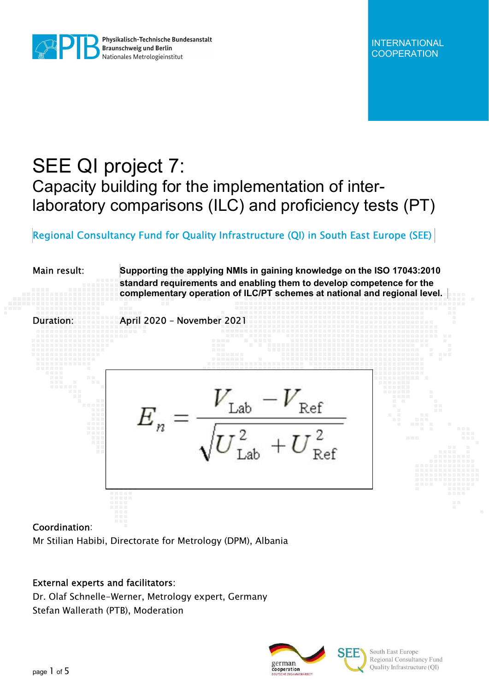

## SEE QI project 7: Capacity building for the implementation of interlaboratory comparisons (ILC) and proficiency tests (PT)

### Regional Consultancy Fund for Quality Infrastructure (QI) in South East Europe (SEE)

# Main result: Supporting the applying NMIs in gaining knowledge on the ISO 17043:2010 standard requirements and enabling them to develop competence for the complementary operation of ILC/PT schemes at national and regional level. Duration: April 2020 – November 2021

#### Coordination:

Mr Stilian Habibi, Directorate for Metrology (DPM), Albania

#### External experts and facilitators:

Dr. Olaf Schnelle-Werner, Metrology expert, Germany Stefan Wallerath (PTB), Moderation



South East Europe Regional Consultancy Fund Quality Infrastructure (QI)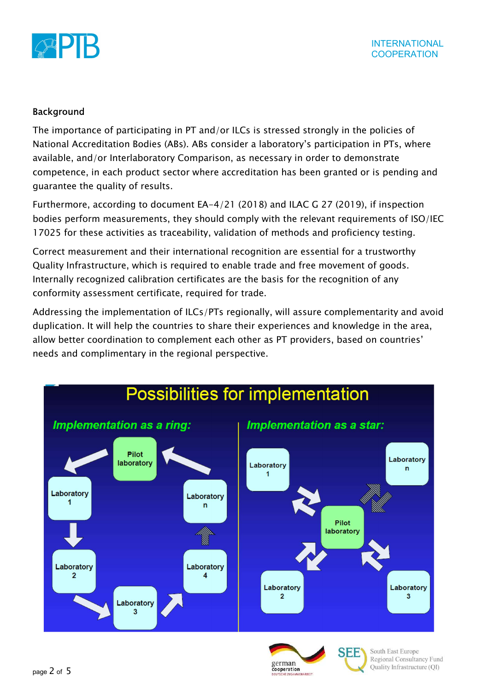

#### Background

The importance of participating in PT and/or ILCs is stressed strongly in the policies of National Accreditation Bodies (ABs). ABs consider a laboratory's participation in PTs, where available, and/or Interlaboratory Comparison, as necessary in order to demonstrate competence, in each product sector where accreditation has been granted or is pending and guarantee the quality of results.

Furthermore, according to document EA-4/21 (2018) and ILAC G 27 (2019), if inspection bodies perform measurements, they should comply with the relevant requirements of ISO/IEC 17025 for these activities as traceability, validation of methods and proficiency testing.

Correct measurement and their international recognition are essential for a trustworthy Quality Infrastructure, which is required to enable trade and free movement of goods. Internally recognized calibration certificates are the basis for the recognition of any conformity assessment certificate, required for trade.

Addressing the implementation of ILCs/PTs regionally, will assure complementarity and avoid duplication. It will help the countries to share their experiences and knowledge in the area, allow better coordination to complement each other as PT providers, based on countries' needs and complimentary in the regional perspective.



cooperation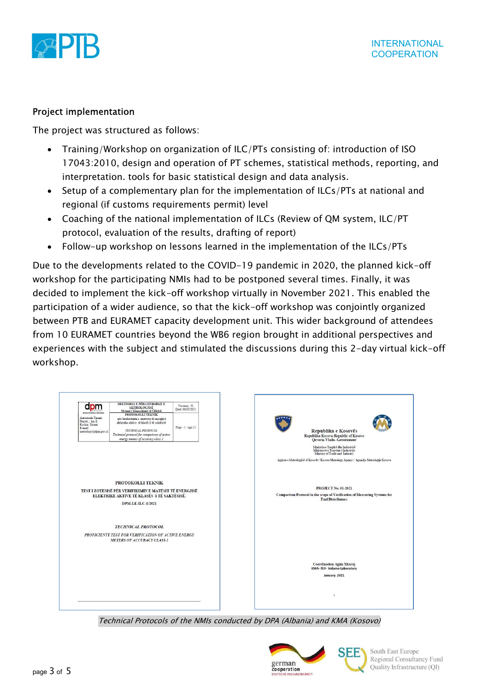

#### Project implementation

The project was structured as follows:

- Training/Workshop on organization of ILC/PTs consisting of: introduction of ISO 17043:2010, design and operation of PT schemes, statistical methods, reporting, and interpretation. tools for basic statistical design and data analysis.
- Setup of a complementary plan for the implementation of ILCs/PTs at national and regional (if customs requirements permit) level
- Coaching of the national implementation of ILCs (Review of QM system, ILC/PT protocol, evaluation of the results, drafting of report)
- Follow-up workshop on lessons learned in the implementation of the ILCs/PTs

Due to the developments related to the COVID-19 pandemic in 2020, the planned kick-off workshop for the participating NMIs had to be postponed several times. Finally, it was decided to implement the kick-off workshop virtually in November 2021. This enabled the participation of a wider audience, so that the kick-off workshop was conjointly organized between PTB and EURAMET capacity development unit. This wider background of attendees from 10 EURAMET countries beyond the WB6 region brought in additional perspectives and experiences with the subject and stimulated the discussions during this 2-day virtual kick-off workshop.



Technical Protocols of the NMIs conducted by DPA (Albania) and KMA (Kosovo)



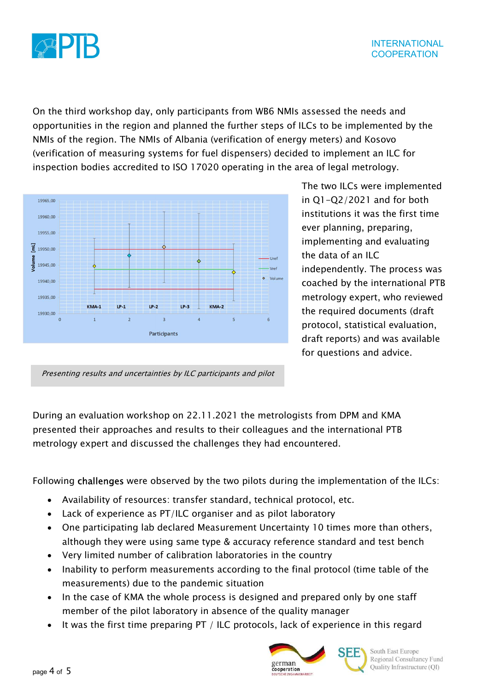

On the third workshop day, only participants from WB6 NMIs assessed the needs and opportunities in the region and planned the further steps of ILCs to be implemented by the NMIs of the region. The NMIs of Albania (verification of energy meters) and Kosovo (verification of measuring systems for fuel dispensers) decided to implement an ILC for inspection bodies accredited to ISO 17020 operating in the area of legal metrology.



The two ILCs were implemented in Q1-Q2/2021 and for both institutions it was the first time ever planning, preparing, implementing and evaluating the data of an ILC independently. The process was coached by the international PTB metrology expert, who reviewed the required documents (draft protocol, statistical evaluation, draft reports) and was available for questions and advice.

Presenting results and uncertainties by ILC participants and pilot

During an evaluation workshop on 22.11.2021 the metrologists from DPM and KMA presented their approaches and results to their colleagues and the international PTB metrology expert and discussed the challenges they had encountered.

Following challenges were observed by the two pilots during the implementation of the ILCs:

- Availability of resources: transfer standard, technical protocol, etc.
- Lack of experience as PT/ILC organiser and as pilot laboratory
- One participating lab declared Measurement Uncertainty 10 times more than others, although they were using same type & accuracy reference standard and test bench
- Very limited number of calibration laboratories in the country
- Inability to perform measurements according to the final protocol (time table of the measurements) due to the pandemic situation
- In the case of KMA the whole process is designed and prepared only by one staff member of the pilot laboratory in absence of the quality manager
- It was the first time preparing PT / ILC protocols, lack of experience in this regard





South East Europe Regional Consultancy Fund Quality Infrastructure (QI)